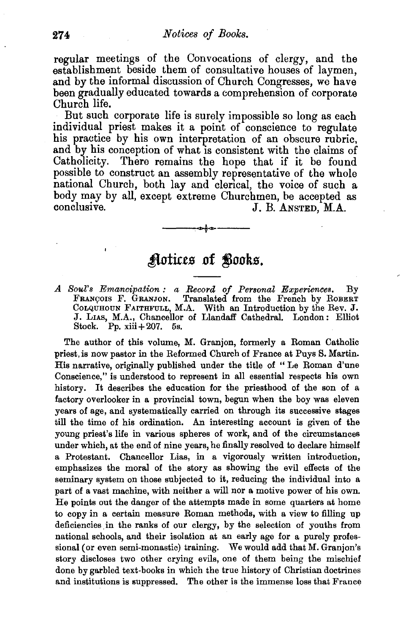regular meetings of the Convocations of clergy, and the establishment beside them of consultative houses of laymen, and by the informal discussion of Church Congresses, we have been gradually educated towards a comprehension of corporate Church life.

But such corporate life is surely impossible so long as each individual priest makes it a point of conscience to regulate his practice by his own interpretation of an obscure rubric, and by his conception of what is consistent with the claims of Catholicity. There remains the hope that if it be found possible to construct an assembly representative of the whole national Church, both lay and clerical, the voice of such a body may by all, except extreme Churchmen, be accepted as conclusive.<br>U. B. ANSTED, M.A. J. B. ANSTED, M.A.

## Aotices of Books.

*A Soul's Emancipation: a Record of Personal Experiences.* By FRANÇOIS F. GRANJON. Translated from the French by ROBERT<br>ColQUHOUN FAITHFULL, M.A. With an Introduction by the Rev. J. J. LIAs, M.A., Chancellor of Llandaff Cathedral. London: Elliot Stock. Pp.  $xiii+207$ . 5s.

The author of this volume, M. Granjon, formerly a Roman Catholic priest, is now pastor in the Reformed Church of France at Puys S. Martin. His narrative, originally published under the title of " Le Roman d'une Conscience," is understood to represent in all essential respects his own history. It describes the education for the priesthood of the son of a factory overlooker in a provincial town, begun when the boy was eleven years of age, and systematically carried on through its successive stages till the time of his ordination. An interesting account is given of the young priest's life in various spheres of work, and of the circumstances under which, at the end of nine years, he finally resolved to declare himself a Protestant. Chancellor Lias, in a vigorously written introduction, emphasizes the moral of the story as showing the evil effects of the seminary system on those subjected to it, reducing the individual into a part of a vast machine, with neither a will nor a motive power of his own. He points out the danger of the attempts made in some quarters at home to copy in a certain measure Roman methods, with a view to filling up deficiencies in the ranks of our clergy, by the selection of youths from national schools, and their isolation at an early age for a purely professional (or even semi-monastic) training. We would add that M. Granjon's story discloses two other crying evils, one of them being the mischief done by garbled text-books in which the true history of Christian doctrines and institutions is suppressed. The other is the immense loss that France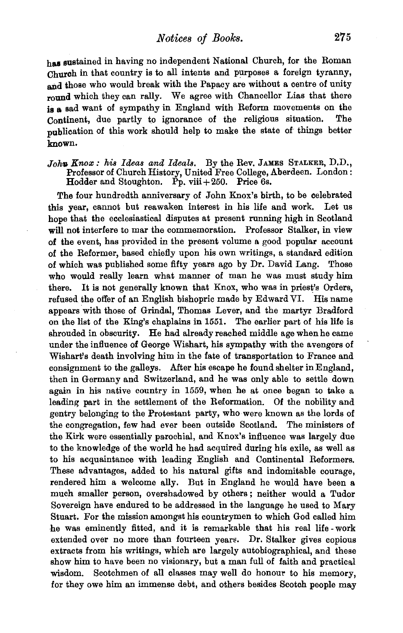has sustained in having no independent National Church, for the Roman Church in that country is to all intents and purposes a foreign tyranny, and those who would break with the Papacy are without a centre of unity round which they can rally. We agree with Chancellor Lias that there is a sad want of sympathy in England with Reform movements on the Continent, due partly to ignorance of the religious situation. The publication of this work should help to make the state of things better known.

## *Joh• Knox: his Ideas and Ideals.* By the Rev. JAMES STALKER, D.D., Professor of Church History, United Free College, Aberdeen. London : Hodder and Stoughton. Pp. viii  $+250$ . Price 6s.

The four hundredth anniversary of John Knox's birth, to be celebrated this year, cannot but reawaken interest in his life and work. Let us hope that the ecclesiastical disputes at present running high in Scotland will not interfere to mar the commemoration. Professor Stalker, in view of the event, has provided in the present volume a good popular account of the Reformer, based chiefly upon his own writings, a standard edition of which was published some fifty years ago by Dr. David Lang. Those who would really learn what manner of man he was must study him there. It is not generally known that Knox, who was in priest's Orders, refused the offer of an English bishopric made by Edward VI. His name appears with those of Grindal, Thomas Lever, and the martyr Bradford on the list of the King's chaplains in 1551. The earlier part of his life is shrouded in obscurity. He had already reached middle age when he came under the influence of George Wishart, his sympathy with the avengers of Wishart's death involving him in the fate of transportation to France and consignment to the galleys. After his escape he found shelter in England, then in Germany and Switzerland, and he was only able to settle down again in his native country in 1559, when he at once began to take a leading part in the settlement of the Reformation. Of the nobility and gentry belonging to the Protestant party, who were known as the lords of the congregation, few had ever been outside Scotland. The ministers of the Kirk were essentially parochial, and Knox's influence was largely due to the knowledge of the world he had acquired during his exile, as well as to his acquaintance with leading English and Continental Reformers. These advantages, added to his natural gifts and indomitable courage, rendered him a welcome ally. But in England he would have been a much smaller person, overshadowed by others ; neither would a Tudor Sovereign have endured to be addressed in the language he used to Mary Stuart. For the mission amongst his countrymen to which God called him he was eminently fitted, and it is remarkable that his real life- work extended over no more than fourteen year8. Dr. Stalker gives copious extracts from his writings, which are largely autobiographical, and these show him to have been no visionary, but a man full of faith and practical wisdom. Scotchmen of all classes may well do honour to his memory, for they owe him an immense debt, and others besides Scotch people may